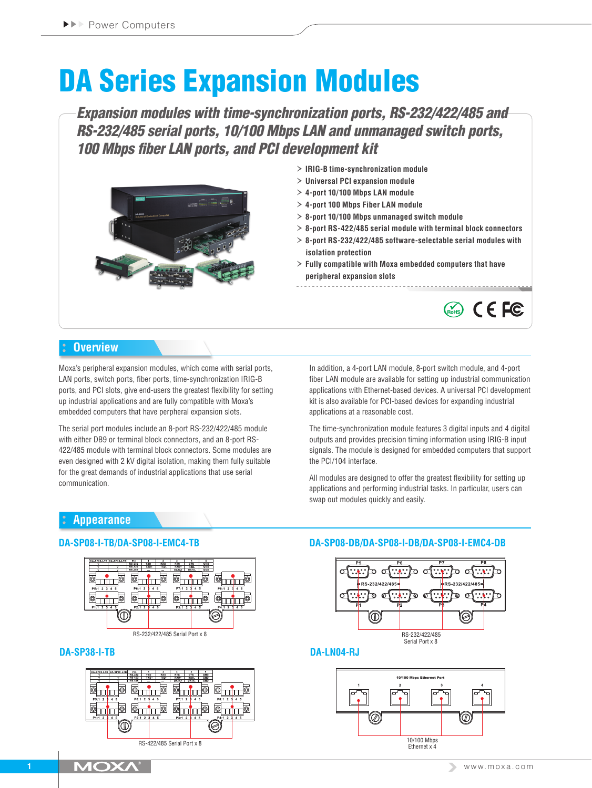# DA Series Expansion Modules

*Expansion modules with time-synchronization ports, RS-232/422/485 and RS-232/485 serial ports, 10/100 Mbps LAN and unmanaged switch ports, 100 Mbps fiber LAN ports, and PCI development kit*



- › **IRIG-B time-synchronization module**
- › **Universal PCI expansion module**
- › **4-port 10/100 Mbps LAN module**
- › **4-port 100 Mbps Fiber LAN module**
- › **8-port 10/100 Mbps unmanaged switch module**
- › **8-port RS-422/485 serial module with terminal block connectors**
- › **8-port RS-232/422/485 software-selectable serial modules with isolation protection**
- › **Fully compatible with Moxa embedded computers that have peripheral expansion slots**



# **Overview**

Moxa's peripheral expansion modules, which come with serial ports, LAN ports, switch ports, fiber ports, time-synchronization IRIG-B ports, and PCI slots, give end-users the greatest flexibility for setting up industrial applications and are fully compatible with Moxa's embedded computers that have perpheral expansion slots.

The serial port modules include an 8-port RS-232/422/485 module with either DB9 or terminal block connectors, and an 8-port RS-422/485 module with terminal block connectors. Some modules are even designed with 2 kV digital isolation, making them fully suitable for the great demands of industrial applications that use serial communication.

In addition, a 4-port LAN module, 8-port switch module, and 4-port fiber LAN module are available for setting up industrial communication applications with Ethernet-based devices. A universal PCI development kit is also available for PCI-based devices for expanding industrial applications at a reasonable cost.

The time-synchronization module features 3 digital inputs and 4 digital outputs and provides precision timing information using IRIG-B input signals. The module is designed for embedded computers that support the PCI/104 interface.

All modules are designed to offer the greatest flexibility for setting up applications and performing industrial tasks. In particular, users can swap out modules quickly and easily.

# **Appearance**



#### **DA-SP38-I-TB DA-LN04-RJ**



### **DA-SP08-I-TB/DA-SP08-I-EMC4-TB DA-SP08-DB/DA-SP08-I-DB/DA-SP08-I-EMC4-DB**



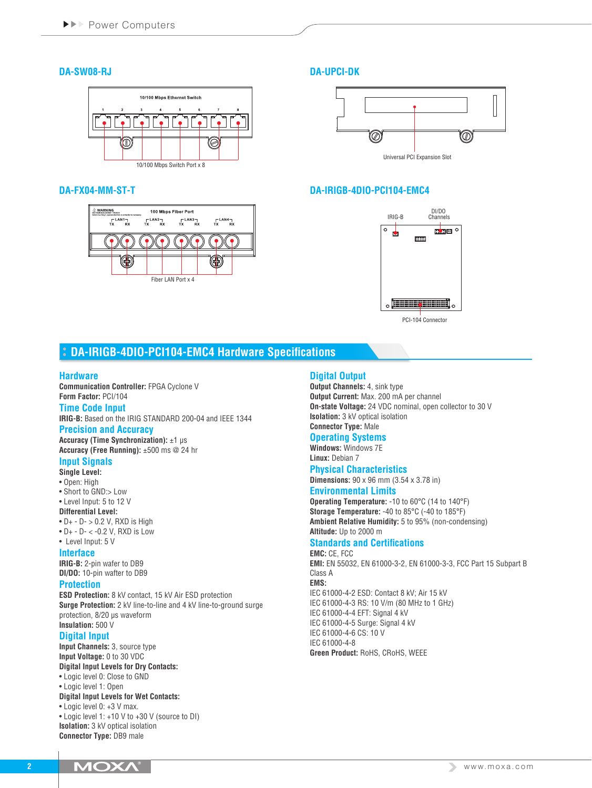## **DA-SW08-RJ**



#### **DA-FX04-MM-ST-T DA-IRIGB-4DIO-PCI104-EMC4**



## **DA-UPCI-DK**





PCI-104 Connector

# **DA-IRIGB-4DIO-PCI104-EMC4 Hardware Specifications**

#### **Hardware**

**Communication Controller:** FPGA Cyclone V **Form Factor:** PCI/104

#### **Time Code Input**

**IRIG-B:** Based on the IRIG STANDARD 200-04 and IEEE 1344

# **Precision and Accuracy**

**Accuracy (Time Synchronization):** ±1 µs **Accuracy (Free Running):** ±500 ms @ 24 hr

# **Input Signals**

- **Single Level:**
- Open: High
- Short to GND:> Low
- Level Input: 5 to 12 V **Differential Level:**

# $\bullet$  D+  $\circ$  D $\circ$  > 0.2 V, RXD is High

- D+ D- < -0.2 V, RXD is Low
- Level Input: 5 V

# **Interface**

**IRIG-B:** 2-pin wafer to DB9 **DI/DO:** 10-pin wafter to DB9

#### **Protection**

**ESD Protection:** 8 kV contact, 15 kV Air ESD protection **Surge Protection:** 2 kV line-to-line and 4 kV line-to-ground surge protection, 8/20 µs waveform **Insulation:** 500 V

### **Digital Input**

**Input Channels:** 3, source type **Input Voltage:** 0 to 30 VDC **Digital Input Levels for Dry Contacts:** • Logic level 0: Close to GND

• Logic level 1: Open

#### **Digital Input Levels for Wet Contacts:**

• Logic level 0: +3 V max.

• Logic level 1: +10 V to +30 V (source to DI) **Isolation:** 3 kV optical isolation **Connector Type:** DB9 male

# **Digital Output**

**Output Channels:** 4, sink type **Output Current:** Max. 200 mA per channel **On-state Voltage:** 24 VDC nominal, open collector to 30 V **Isolation:** 3 kV optical isolation **Connector Type:** Male

### **Operating Systems**

**Windows:** Windows 7E **Linux:** Debian 7

#### **Physical Characteristics**

**Dimensions:** 90 x 96 mm (3.54 x 3.78 in)

### **Environmental Limits**

**Operating Temperature:** -10 to 60°C (14 to 140°F) **Storage Temperature:** -40 to 85°C (-40 to 185°F) **Ambient Relative Humidity:** 5 to 95% (non-condensing) **Altitude:** Up to 2000 m

# **Standards and Certifications**

**EMC:** CE, FCC **EMI:** EN 55032, EN 61000-3-2, EN 61000-3-3, FCC Part 15 Subpart B Class A **EMS:** IEC 61000-4-2 ESD: Contact 8 kV; Air 15 kV IEC 61000-4-3 RS: 10 V/m (80 MHz to 1 GHz) IEC 61000-4-4 EFT: Signal 4 kV IEC 61000-4-5 Surge: Signal 4 kV IEC 61000-4-6 CS: 10 V IEC 61000-4-8 **Green Product:** RoHS, CRoHS, WEEE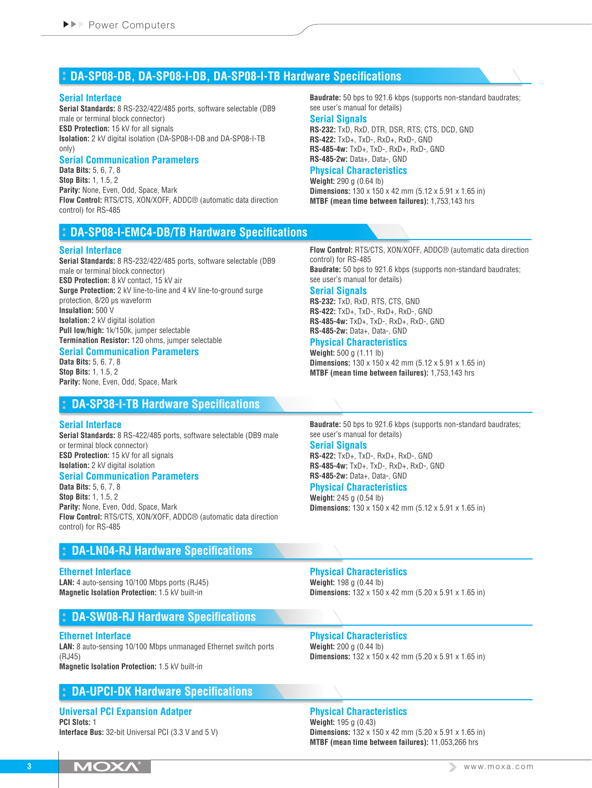# **DA-SP08-DB, DA-SP08-I-DB, DA-SP08-I-TB Hardware Specifications**

#### **Serial Interface**

**Serial Standards:** 8 RS-232/422/485 ports, software selectable (DB9 male or terminal block connector) **ESD Protection:** 15 kV for all signals **Isolation:** 2 kV digital isolation (DA-SP08-I-DB and DA-SP08-I-TB only)

#### **Serial Communication Parameters**

**Data Bits:** 5, 6, 7, 8 **Stop Bits:** 1, 1.5, 2 **Parity:** None, Even, Odd, Space, Mark **Flow Control:** RTS/CTS, XON/XOFF, ADDC® (automatic data direction control) for RS-485

# **DA-SP08-I-EMC4-DB/TB Hardware Specifications**

#### **Serial Interface**

**Serial Standards:** 8 RS-232/422/485 ports, software selectable (DB9 male or terminal block connector) **ESD Protection:** 8 kV contact, 15 kV air **Surge Protection:** 2 kV line-to-line and 4 kV line-to-ground surge protection, 8/20 µs waveform **Insulation:** 500 V **Isolation:** 2 kV digital isolation **Pull low/high:** 1k/150k, jumper selectable **Termination Resistor:** 120 ohms, jumper selectable

#### **Serial Communication Parameters**

**Data Bits:** 5, 6, 7, 8 **Stop Bits:** 1, 1.5, 2 **Parity:** None, Even, Odd, Space, Mark

# **DA-SP38-I-TB Hardware Specifications**

#### **Serial Interface**

**Serial Standards:** 8 RS-422/485 ports, software selectable (DB9 male or terminal block connector) **ESD Protection:** 15 kV for all signals **Isolation:** 2 kV digital isolation

#### **Serial Communication Parameters**

**Data Bits:** 5, 6, 7, 8 **Stop Bits:** 1, 1.5, 2 **Parity:** None, Even, Odd, Space, Mark **Flow Control:** RTS/CTS, XON/XOFF, ADDC® (automatic data direction control) for RS-485

# **DA-LN04-RJ Hardware Specifications**

#### **Ethernet Interface**

**LAN:** 4 auto-sensing 10/100 Mbps ports (RJ45) **Magnetic Isolation Protection:** 1.5 kV built-in

# **DA-SW08-RJ Hardware Specifications**

#### **Ethernet Interface**

**LAN:** 8 auto-sensing 10/100 Mbps unmanaged Ethernet switch ports (RJ45) **Magnetic Isolation Protection:** 1.5 kV built-in

# **DA-UPCI-DK Hardware Specifications**

#### **Universal PCI Expansion Adatper PCI Slots:** 1

**Interface Bus:** 32-bit Universal PCI (3.3 V and 5 V)

**Baudrate:** 50 bps to 921.6 kbps (supports non-standard baudrates; see user's manual for details)

#### **Serial Signals**

**RS-232:** TxD, RxD, DTR, DSR, RTS, CTS, DCD, GND **RS-422:** TxD+, TxD-, RxD+, RxD-, GND **RS-485-4w:** TxD+, TxD-, RxD+, RxD-, GND **RS-485-2w:** Data+, Data-, GND

#### **Physical Characteristics**

**Weight:** 290 g (0.64 lb) **Dimensions:** 130 x 150 x 42 mm (5.12 x 5.91 x 1.65 in) **MTBF (mean time between failures):** 1,753,143 hrs

**Flow Control:** RTS/CTS, XON/XOFF, ADDC® (automatic data direction control) for RS-485 **Baudrate:** 50 bps to 921.6 kbps (supports non-standard baudrates;

see user's manual for details)

## **Serial Signals**

**RS-232:** TxD, RxD, RTS, CTS, GND **RS-422:** TxD+, TxD-, RxD+, RxD-, GND **RS-485-4w:** TxD+, TxD-, RxD+, RxD-, GND **RS-485-2w:** Data+, Data-, GND

#### **Physical Characteristics**

**Weight:** 500 g (1.11 lb) **Dimensions:** 130 x 150 x 42 mm (5.12 x 5.91 x 1.65 in) **MTBF (mean time between failures):** 1,753,143 hrs

**Baudrate:** 50 bps to 921.6 kbps (supports non-standard baudrates; see user's manual for details)

#### **Serial Signals**

**RS-422:** TxD+, TxD-, RxD+, RxD-, GND **RS-485-4w:** TxD+, TxD-, RxD+, RxD-, GND **RS-485-2w:** Data+, Data-, GND

#### **Physical Characteristics**

**Weight:** 245 g (0.54 lb) **Dimensions:** 130 x 150 x 42 mm (5.12 x 5.91 x 1.65 in)

**Physical Characteristics Weight:** 198 g (0.44 lb) **Dimensions:** 132 x 150 x 42 mm (5.20 x 5.91 x 1.65 in)

#### **Physical Characteristics Weight:** 200 g (0.44 lb) **Dimensions:** 132 x 150 x 42 mm (5.20 x 5.91 x 1.65 in)

# **Physical Characteristics**

**Weight:** 195 g (0.43) **Dimensions:** 132 x 150 x 42 mm (5.20 x 5.91 x 1.65 in) **MTBF (mean time between failures):** 11,053,266 hrs